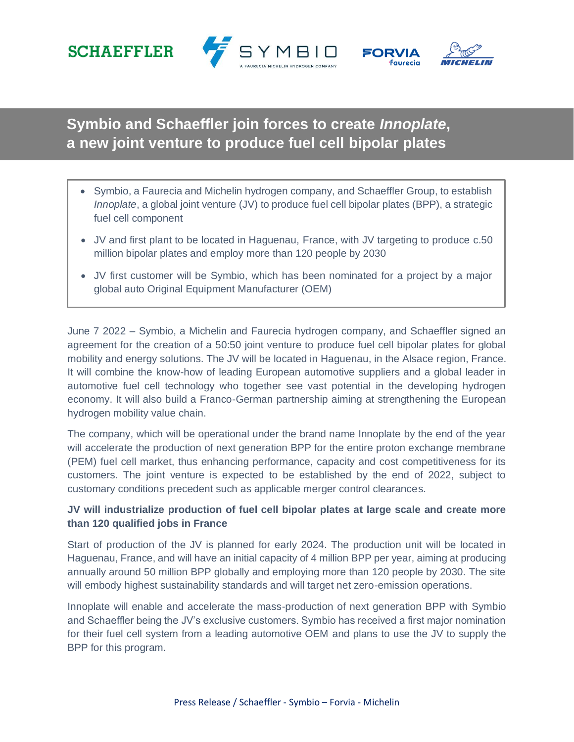







**Symbio and Schaeffler join forces to create** *Innoplate***, a new joint venture to produce fuel cell bipolar plates**

- Symbio, a Faurecia and Michelin hydrogen company, and Schaeffler Group, to establish *Innoplate*, a global joint venture (JV) to produce fuel cell bipolar plates (BPP), a strategic fuel cell component
- JV and first plant to be located in Haguenau, France, with JV targeting to produce c.50 million bipolar plates and employ more than 120 people by 2030
- JV first customer will be Symbio, which has been nominated for a project by a major global auto Original Equipment Manufacturer (OEM)

June 7 2022 – Symbio, a Michelin and Faurecia hydrogen company, and Schaeffler signed an agreement for the creation of a 50:50 joint venture to produce fuel cell bipolar plates for global mobility and energy solutions. The JV will be located in Haguenau, in the Alsace region, France. It will combine the know-how of leading European automotive suppliers and a global leader in automotive fuel cell technology who together see vast potential in the developing hydrogen economy. It will also build a Franco-German partnership aiming at strengthening the European hydrogen mobility value chain.

The company, which will be operational under the brand name Innoplate by the end of the year will accelerate the production of next generation BPP for the entire proton exchange membrane (PEM) fuel cell market, thus enhancing performance, capacity and cost competitiveness for its customers. The joint venture is expected to be established by the end of 2022, subject to customary conditions precedent such as applicable merger control clearances.

# **JV will industrialize production of fuel cell bipolar plates at large scale and create more than 120 qualified jobs in France**

Start of production of the JV is planned for early 2024. The production unit will be located in Haguenau, France, and will have an initial capacity of 4 million BPP per year, aiming at producing annually around 50 million BPP globally and employing more than 120 people by 2030. The site will embody highest sustainability standards and will target net zero-emission operations.

Innoplate will enable and accelerate the mass-production of next generation BPP with Symbio and Schaeffler being the JV's exclusive customers. Symbio has received a first major nomination for their fuel cell system from a leading automotive OEM and plans to use the JV to supply the BPP for this program.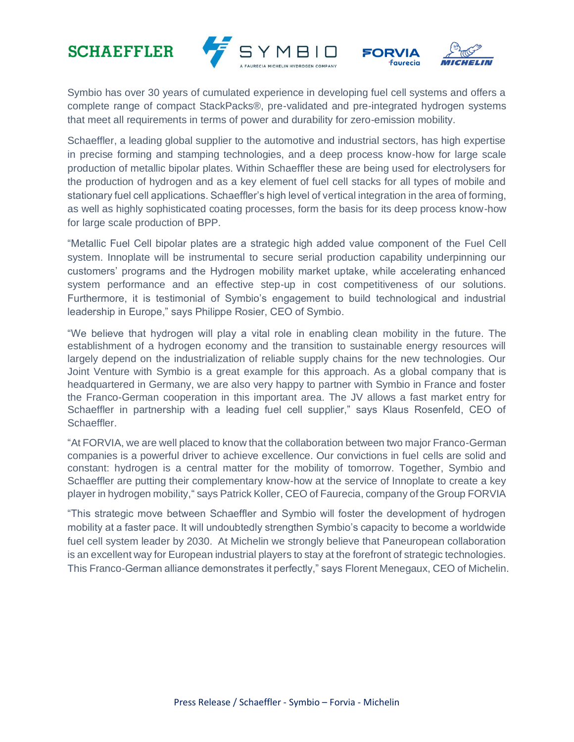# **SCHAEFFLER**





Symbio has over 30 years of cumulated experience in developing fuel cell systems and offers a complete range of compact StackPacks®, pre-validated and pre-integrated hydrogen systems that meet all requirements in terms of power and durability for zero-emission mobility.

Schaeffler, a leading global supplier to the automotive and industrial sectors, has high expertise in precise forming and stamping technologies, and a deep process know-how for large scale production of metallic bipolar plates. Within Schaeffler these are being used for electrolysers for the production of hydrogen and as a key element of fuel cell stacks for all types of mobile and stationary fuel cell applications. Schaeffler's high level of vertical integration in the area of forming, as well as highly sophisticated coating processes, form the basis for its deep process know-how for large scale production of BPP.

"Metallic Fuel Cell bipolar plates are a strategic high added value component of the Fuel Cell system. Innoplate will be instrumental to secure serial production capability underpinning our customers' programs and the Hydrogen mobility market uptake, while accelerating enhanced system performance and an effective step-up in cost competitiveness of our solutions. Furthermore, it is testimonial of Symbio's engagement to build technological and industrial leadership in Europe," says Philippe Rosier, CEO of Symbio.

"We believe that hydrogen will play a vital role in enabling clean mobility in the future. The establishment of a hydrogen economy and the transition to sustainable energy resources will largely depend on the industrialization of reliable supply chains for the new technologies. Our Joint Venture with Symbio is a great example for this approach. As a global company that is headquartered in Germany, we are also very happy to partner with Symbio in France and foster the Franco-German cooperation in this important area. The JV allows a fast market entry for Schaeffler in partnership with a leading fuel cell supplier," says Klaus Rosenfeld, CEO of Schaeffler.

"At FORVIA, we are well placed to know that the collaboration between two major Franco-German companies is a powerful driver to achieve excellence. Our convictions in fuel cells are solid and constant: hydrogen is a central matter for the mobility of tomorrow. Together, Symbio and Schaeffler are putting their complementary know-how at the service of Innoplate to create a key player in hydrogen mobility," says Patrick Koller, CEO of Faurecia, company of the Group FORVIA

"This strategic move between Schaeffler and Symbio will foster the development of hydrogen mobility at a faster pace. It will undoubtedly strengthen Symbio's capacity to become a worldwide fuel cell system leader by 2030. At Michelin we strongly believe that Paneuropean collaboration is an excellent way for European industrial players to stay at the forefront of strategic technologies. This Franco-German alliance demonstrates it perfectly," says Florent Menegaux, CEO of Michelin.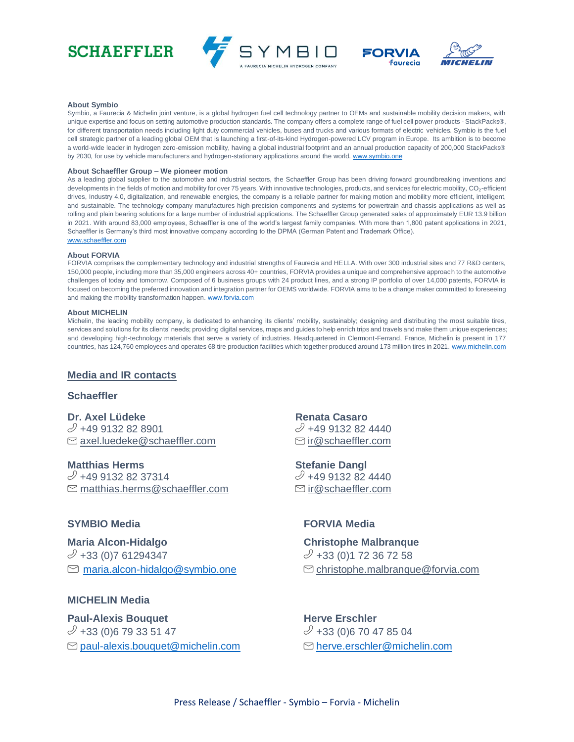







#### **About Symbio**

Symbio, a Faurecia & Michelin joint venture, is a global hydrogen fuel cell technology partner to OEMs and sustainable mobility decision makers, with unique expertise and focus on setting automotive production standards. The company offers a complete range of fuel cell power products - StackPacks®, for different transportation needs including light duty commercial vehicles, buses and trucks and various formats of electric vehicles. Symbio is the fuel cell strategic partner of a leading global OEM that is launching a first-of-its-kind Hydrogen-powered LCV program in Europe. Its ambition is to become a world-wide leader in hydrogen zero-emission mobility, having a global industrial footprint and an annual production capacity of 200,000 StackPacks® by 2030, for use by vehicle manufacturers and hydrogen-stationary applications around the world[. www.symbio.one](http://www.symbio.one/)

#### **About Schaeffler Group – We pioneer motion**

As a leading global supplier to the automotive and industrial sectors, the Schaeffler Group has been driving forward groundbreaking inventions and developments in the fields of motion and mobility for over 75 years. With innovative technologies, products, and services for electric mobility, CO<sub>2</sub>-efficient drives, Industry 4.0, digitalization, and renewable energies, the company is a reliable partner for making motion and mobility more efficient, intelligent, and sustainable. The technology company manufactures high-precision components and systems for powertrain and chassis applications as well as rolling and plain bearing solutions for a large number of industrial applications. The Schaeffler Group generated sales of approximately EUR 13.9 billion in 2021. With around 83,000 employees, Schaeffler is one of the world's largest family companies. With more than 1,800 patent applications in 2021, Schaeffler is Germany's third most innovative company according to the DPMA (German Patent and Trademark Office). [www.schaeffler.com](http://www.schaeffler.com/)

#### **About FORVIA**

FORVIA comprises the complementary technology and industrial strengths of Faurecia and HELLA. With over 300 industrial sites and 77 R&D centers, 150,000 people, including more than 35,000 engineers across 40+ countries, FORVIA provides a unique and comprehensive approach to the automotive challenges of today and tomorrow. Composed of 6 business groups with 24 product lines, and a strong IP portfolio of over 14,000 patents, FORVIA is focused on becoming the preferred innovation and integration partner for OEMS worldwide. FORVIA aims to be a change maker committed to foreseeing and making the mobility transformation happen[. www.forvia.com](http://www.forvia.com/)

#### **About MICHELIN**

Michelin, the leading mobility company, is dedicated to enhancing its clients' mobility, sustainably; designing and distributing the most suitable tires, services and solutions for its clients' needs; providing digital services, maps and guides to help enrich trips and travels and make them unique experiences; and developing high-technology materials that serve a variety of industries. Headquartered in Clermont-Ferrand, France, Michelin is present in 177 countries, has 124,760 employees and operates 68 tire production facilities which together produced around 173 million tires in 2021[. www.michelin.com](http://www.michelin.com/)

# **Media and IR contacts**

### **Schaeffler**

**Dr. Axel Lüdeke**  $\mathcal{D}$  +49 9132 82 8901  $\Box$  [axel.luedeke@schaeffler.com](mailto:axel.luedeke@schaeffler.com)

**Matthias Herms**  $\mathcal{Y}$  +49 9132 82 37314  $\Box$  [matthias.herms@schaeffler.com](mailto:matthias.herms@schaeffler.com)

## **SYMBIO Media FORVIA Media**

**Maria Alcon-Hidalgo Christophe Malbranque**   $\mathcal{O}$  +33 (0)7 61294347  $\mathcal{O}$  +33 (0)1 72 36 72 58

# **MICHELIN Media**

**Paul-Alexis Bouquet Herve Erschler**  $\mathcal{O}$  +33 (0)6 79 33 51 47  $\mathcal{O}$  +33 (0)6 70 47 85 04  $\Box$  [paul-alexis.bouquet@michelin.com](mailto:paul-alexis.bouquet@michelin.com)  $\Box$  [herve.erschler@michelin.com](mailto:herve.erschler@michelin.com)

**Renata Casaro**  $\mathcal{O}$  +49 9132 82 4440  $\lbrack \heartsuit$  ir @schaeffler.com

**Stefanie Dangl**  $\mathcal{O}$  +49 9132 82 4440  $\textcircled{r}$  ir @schaeffler.com

 $\Box$  [maria.alcon-hidalgo@symbio.one](mailto:maria.alcon-hidalgo@symbio.one)  $\Box$  christophe.malbranque@forvia.com